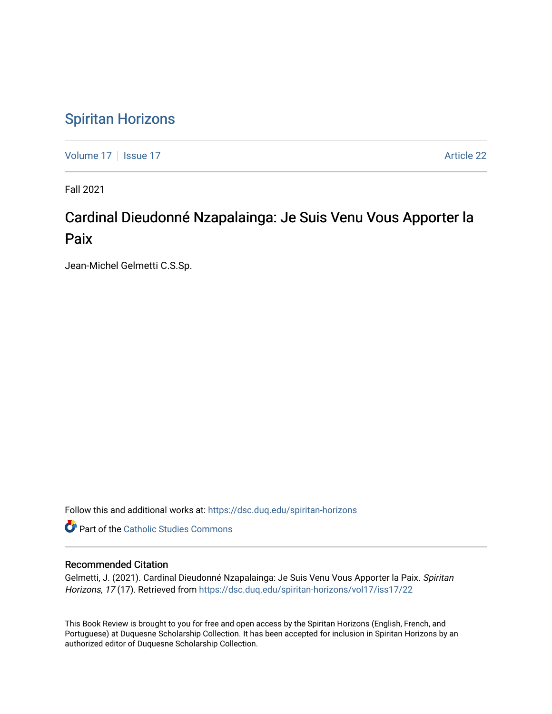## [Spiritan Horizons](https://dsc.duq.edu/spiritan-horizons)

[Volume 17](https://dsc.duq.edu/spiritan-horizons/vol17) | [Issue 17](https://dsc.duq.edu/spiritan-horizons/vol17/iss17) |  $\blacksquare$ 

Fall 2021

# Cardinal Dieudonné Nzapalainga: Je Suis Venu Vous Apporter la Paix

Jean-Michel Gelmetti C.S.Sp.

Follow this and additional works at: [https://dsc.duq.edu/spiritan-horizons](https://dsc.duq.edu/spiritan-horizons?utm_source=dsc.duq.edu%2Fspiritan-horizons%2Fvol17%2Fiss17%2F22&utm_medium=PDF&utm_campaign=PDFCoverPages)

**Part of the [Catholic Studies Commons](http://network.bepress.com/hgg/discipline/1294?utm_source=dsc.duq.edu%2Fspiritan-horizons%2Fvol17%2Fiss17%2F22&utm_medium=PDF&utm_campaign=PDFCoverPages)** 

#### Recommended Citation

Gelmetti, J. (2021). Cardinal Dieudonné Nzapalainga: Je Suis Venu Vous Apporter la Paix. Spiritan Horizons, 17 (17). Retrieved from [https://dsc.duq.edu/spiritan-horizons/vol17/iss17/22](https://dsc.duq.edu/spiritan-horizons/vol17/iss17/22?utm_source=dsc.duq.edu%2Fspiritan-horizons%2Fvol17%2Fiss17%2F22&utm_medium=PDF&utm_campaign=PDFCoverPages) 

This Book Review is brought to you for free and open access by the Spiritan Horizons (English, French, and Portuguese) at Duquesne Scholarship Collection. It has been accepted for inclusion in Spiritan Horizons by an authorized editor of Duquesne Scholarship Collection.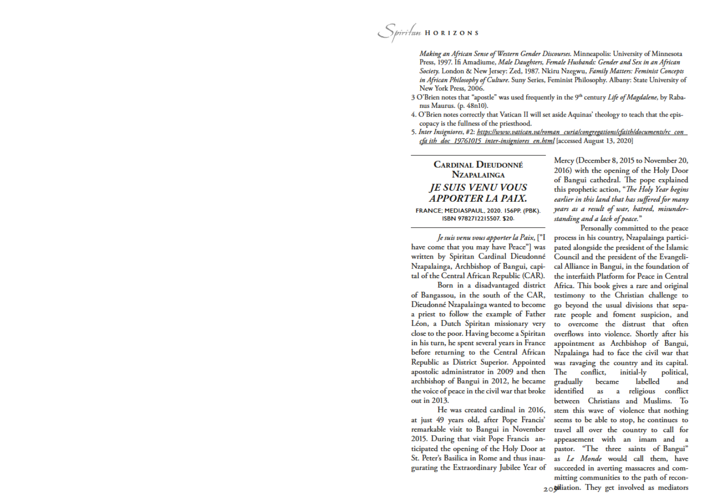Making an African Sense of Western Gender Discourses. Minneapolis: University of Minnesota Press, 1997. Ifi Amadiume, Male Daughters, Female Husbands: Gender and Sex in an African Society. London & New Jersey: Zed, 1987. Nkiru Nzegwu, Family Matters: Feminist Concepts in African Philosophy of Culture. Suny Series, Feminist Philosophy. Albany: State University of New York Press, 2006.

- 3 O'Brien notes that "apostle" was used frequently in the 9th century Life of Magdalene, by Rabanus Maurus. (p. 48n10).
- 4. O'Brien notes correctly that Vatican II will set aside Aquinas' theology to teach that the episcopacy is the fullness of the priesthood.
- 5. Inter Insigniores, #2: https://www.vatican.va/roman\_curia/congregations/cfaith/documents/rc\_con\_ cfa ith doc 19761015 inter-insigniores en.html [accessed August 13, 2020]

### **CARDINAL DIEUDONNÉ NZAPALAINGA JE SUIS VENU VOUS APPORTER LA PAIX.**

FRANCE; MEDIASPAUL, 2020. I56PP. (PBK). ISBN 9782712215507. \$20.

Je suis venu vous apporter la Paix, ["I have come that you may have Peace"] was written by Spiritan Cardinal Dieudonné Nzapalainga, Archbishop of Bangui, capital of the Central African Republic (CAR).

Born in a disadvantaged district of Bangassou, in the south of the CAR, Dieudonné Nzapalainga wanted to become a priest to follow the example of Father Léon, a Dutch Spiritan missionary very close to the poor. Having become a Spiritan in his turn, he spent several years in France before returning to the Central African Republic as District Superior. Appointed apostolic administrator in 2009 and then archbishop of Bangui in 2012, he became the voice of peace in the civil war that broke out in 2013.

He was created cardinal in 2016, at just 49 years old, after Pope Francis' remarkable visit to Bangui in November 2015. During that visit Pope Francis anticipated the opening of the Holy Door at St. Peter's Basilica in Rome and thus inaugurating the Extraordinary Jubilee Year of

Mercy (December 8, 2015 to November 20, 2016) with the opening of the Holy Door of Bangui cathedral. The pope explained this prophetic action, "The Holy Year begins earlier in this land that has suffered for many years as a result of war, hatred, misunderstanding and a lack of peace."

Personally committed to the peace process in his country, Nzapalainga participated alongside the president of the Islamic Council and the president of the Evangelical Alliance in Bangui, in the foundation of the interfaith Platform for Peace in Central Africa. This book gives a rare and original testimony to the Christian challenge to go beyond the usual divisions that separate people and foment suspicion, and overcome the distrust that often overflows into violence. Shortly after his appointment as Archbishop of Bangui, Nzpalainga had to face the civil war that was ravaging the country and its capital. conflict, initial-ly The political, gradually became labelled and identified religious conflict as a between Christians and Muslims. To stem this wave of violence that nothing seems to be able to stop, he continues to travel all over the country to call for appeasement with an imam and pastor. "The three saints of Bangui" as Le Monde would call them, have succeeded in averting massacres and committing communities to the path of recon- $20$  tiliation. They get involved as mediators